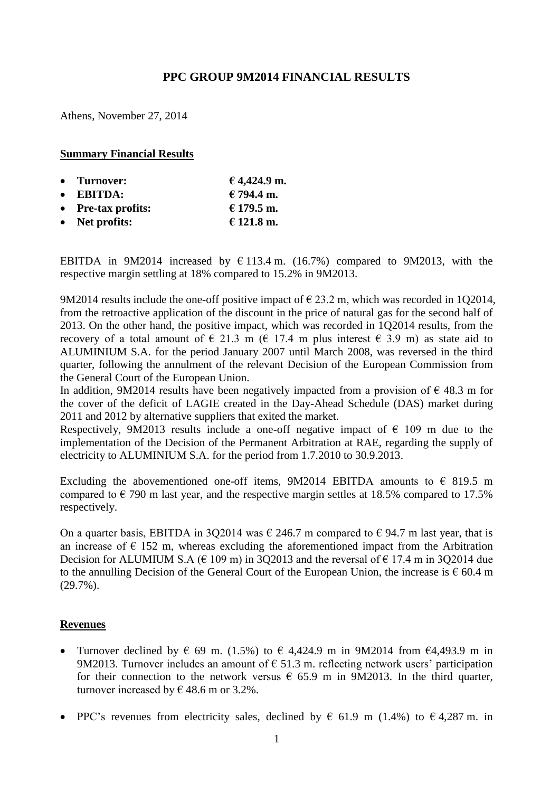# **PPC GROUP 9M2014 FINANCIAL RESULTS**

Athens, November 27, 2014

#### **Summary Financial Results**

| • Turnover:            | € 4,424.9 m. |
|------------------------|--------------|
| $\bullet$ EBITDA:      | € 794.4 m.   |
| • Pre-tax profits:     | € 179.5 m.   |
| $\bullet$ Net profits: | € 121.8 m.   |

ΕΒΙΤDΑ in 9M2014 increased by € 113.4 m. (16.7%) compared to 9M2013, with the respective margin settling at 18% compared to 15.2% in 9M2013.

9M2014 results include the one-off positive impact of  $\epsilon$  23.2 m, which was recorded in 1Q2014, from the retroactive application of the discount in the price of natural gas for the second half of 2013. On the other hand, the positive impact, which was recorded in 1Q2014 results, from the recovery of a total amount of  $\in$  21.3 m ( $\in$  17.4 m plus interest  $\in$  3.9 m) as state aid to ALUMINIUM S.A. for the period January 2007 until March 2008, was reversed in the third quarter, following the annulment of the relevant Decision of the European Commission from the General Court of the European Union.

In addition, 9M2014 results have been negatively impacted from a provision of  $\epsilon$  48.3 m for the cover of the deficit of LAGIE created in the Day-Ahead Schedule (DAS) market during 2011 and 2012 by alternative suppliers that exited the market.

Respectively, 9M2013 results include a one-off negative impact of  $\epsilon$  109 m due to the implementation of the Decision of the Permanent Arbitration at RAE, regarding the supply of electricity to ALUMINIUM S.A. for the period from 1.7.2010 to 30.9.2013.

Excluding the abovementioned one-off items, 9M2014 EBITDA amounts to  $\epsilon$  819.5 m compared to  $\epsilon$  790 m last year, and the respective margin settles at 18.5% compared to 17.5% respectively.

On a quarter basis, EBITDA in 3Q2014 was  $\epsilon$  246.7 m compared to  $\epsilon$  94.7 m last year, that is an increase of  $\epsilon$  152 m, whereas excluding the aforementioned impact from the Arbitration Decision for ALUMIUM S.A ( $\in$  109 m) in 3Q2013 and the reversal of  $\in$  17.4 m in 3Q2014 due to the annulling Decision of the General Court of the European Union, the increase is  $\epsilon$  60.4 m (29.7%).

## **Revenues**

- Turnover declined by  $\epsilon$  69 m. (1.5%) to  $\epsilon$  4,424.9 m in 9M2014 from  $\epsilon$ 4,493.9 m in 9M2013. Turnover includes an amount of  $\epsilon$  51.3 m. reflecting network users' participation for their connection to the network versus  $\epsilon$  65.9 m in 9M2013. In the third quarter, turnover increased by  $\in$  48.6 m or 3.2%.
- PPC's revenues from electricity sales, declined by  $\epsilon$  61.9 m (1.4%) to  $\epsilon$  4,287 m. in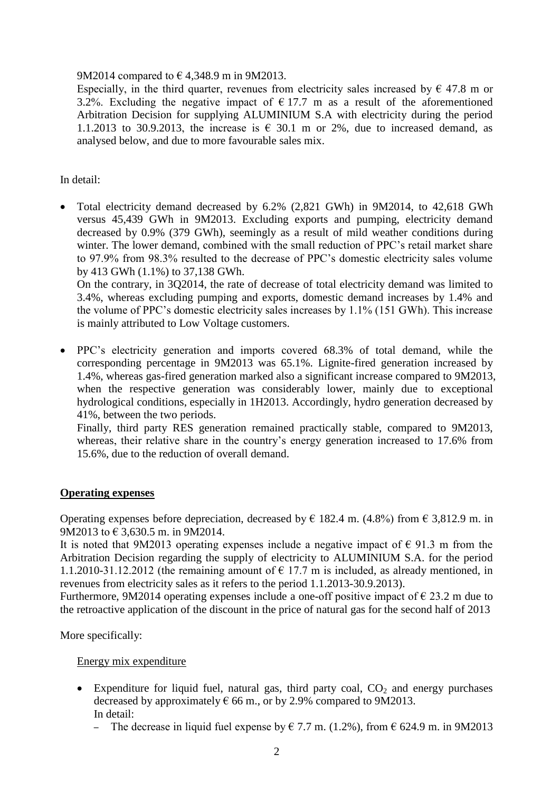## 9M2014 compared to  $\in$  4,348.9 m in 9M2013.

Especially, in the third quarter, revenues from electricity sales increased by  $\epsilon$  47.8 m or 3.2%. Excluding the negative impact of  $\epsilon$  17.7 m as a result of the aforementioned Arbitration Decision for supplying ALUMINIUM S.A with electricity during the period 1.1.2013 to 30.9.2013, the increase is  $\epsilon$  30.1 m or 2%, due to increased demand, as analysed below, and due to more favourable sales mix.

In detail:

 Total electricity demand decreased by 6.2% (2,821 GWh) in 9M2014, to 42,618 GWh versus 45,439 GWh in 9M2013. Excluding exports and pumping, electricity demand decreased by 0.9% (379 GWh), seemingly as a result of mild weather conditions during winter. The lower demand, combined with the small reduction of PPC's retail market share to 97.9% from 98.3% resulted to the decrease of PPC's domestic electricity sales volume by 413 GWh (1.1%) to 37,138 GWh.

On the contrary, in 3Q2014, the rate of decrease of total electricity demand was limited to 3.4%, whereas excluding pumping and exports, domestic demand increases by 1.4% and the volume of PPC's domestic electricity sales increases by 1.1% (151 GWh). This increase is mainly attributed to Low Voltage customers.

 PPC's electricity generation and imports covered 68.3% of total demand, while the corresponding percentage in 9M2013 was 65.1%. Lignite-fired generation increased by 1.4%, whereas gas-fired generation marked also a significant increase compared to 9M2013, when the respective generation was considerably lower, mainly due to exceptional hydrological conditions, especially in 1H2013. Accordingly, hydro generation decreased by 41%, between the two periods.

Finally, third party RES generation remained practically stable, compared to 9M2013, whereas, their relative share in the country's energy generation increased to 17.6% from 15.6%, due to the reduction of overall demand.

# **Operating expenses**

Operating expenses before depreciation, decreased by  $\epsilon$  182.4 m. (4.8%) from  $\epsilon$  3,812.9 m. in 9M2013 to € 3,630.5 m. in 9M2014.

It is noted that 9M2013 operating expenses include a negative impact of  $\epsilon$  91.3 m from the Arbitration Decision regarding the supply of electricity to ALUMINIUM S.A. for the period 1.1.2010-31.12.2012 (the remaining amount of  $\epsilon$  17.7 m is included, as already mentioned, in revenues from electricity sales as it refers to the period 1.1.2013-30.9.2013).

Furthermore, 9M2014 operating expenses include a one-off positive impact of  $\epsilon$  23.2 m due to the retroactive application of the discount in the price of natural gas for the second half of 2013

More specifically:

## Energy mix expenditure

- Expenditure for liquid fuel, natural gas, third party coal,  $CO<sub>2</sub>$  and energy purchases decreased by approximately  $\epsilon$  66 m., or by 2.9% compared to 9M2013. In detail:
	- The decrease in liquid fuel expense by  $\epsilon$  7.7 m. (1.2%), from  $\epsilon$  624.9 m. in 9M2013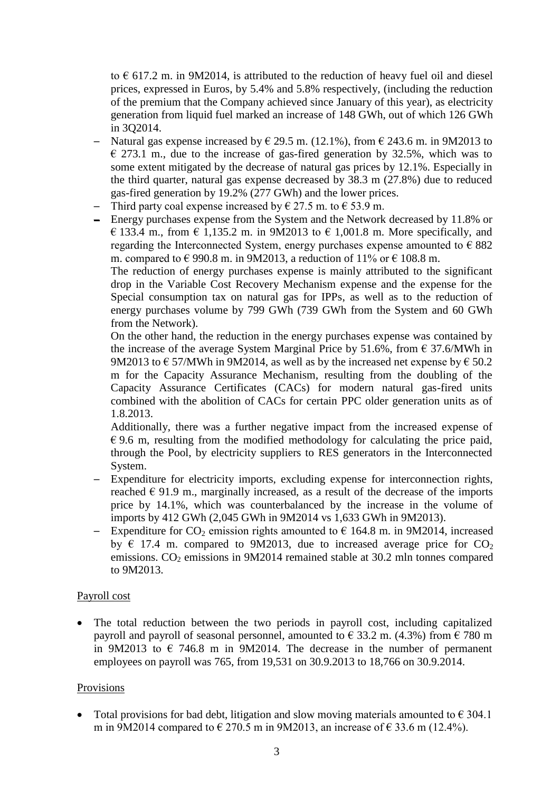to  $\epsilon$  617.2 m. in 9M2014, is attributed to the reduction of heavy fuel oil and diesel prices, expressed in Euros, by 5.4% and 5.8% respectively, (including the reduction of the premium that the Company achieved since January of this year), as electricity generation from liquid fuel marked an increase of 148 GWh, out of which 126 GWh in 3Q2014.

- Natural gas expense increased by  $\epsilon$  29.5 m. (12.1%), from  $\epsilon$  243.6 m. in 9M2013 to  $\epsilon$  273.1 m., due to the increase of gas-fired generation by 32.5%, which was to some extent mitigated by the decrease of natural gas prices by 12.1%. Especially in the third quarter, natural gas expense decreased by 38.3 m (27.8%) due to reduced gas-fired generation by 19.2% (277 GWh) and the lower prices.
- Third party coal expense increased by  $\epsilon$  27.5 m. to  $\epsilon$  53.9 m.
- ─ Energy purchases expense from the System and the Network decreased by 11.8% or  $\in$  133.4 m., from  $\in$  1,135.2 m. in 9M2013 to  $\in$  1,001.8 m. More specifically, and regarding the Interconnected System, energy purchases expense amounted to  $\epsilon$  882 m. compared to  $\epsilon$  990.8 m. in 9M2013, a reduction of 11% or  $\epsilon$  108.8 m.

The reduction of energy purchases expense is mainly attributed to the significant drop in the Variable Cost Recovery Mechanism expense and the expense for the Special consumption tax on natural gas for IPPs, as well as to the reduction of energy purchases volume by 799 GWh (739 GWh from the System and 60 GWh from the Network).

On the other hand, the reduction in the energy purchases expense was contained by the increase of the average System Marginal Price by 51.6%, from  $\epsilon$  37.6/MWh in 9M2013 to  $\epsilon$  57/MWh in 9M2014, as well as by the increased net expense by  $\epsilon$  50.2 m for the Capacity Assurance Mechanism, resulting from the doubling of the Capacity Assurance Certificates (CACs) for modern natural gas-fired units combined with the abolition of CACs for certain PPC older generation units as of 1.8.2013.

Additionally, there was a further negative impact from the increased expense of  $\epsilon$  9.6 m, resulting from the modified methodology for calculating the price paid, through the Pool, by electricity suppliers to RES generators in the Interconnected System.

- ─ Expenditure for electricity imports, excluding expense for interconnection rights, reached  $\epsilon$  91.9 m., marginally increased, as a result of the decrease of the imports price by 14.1%, which was counterbalanced by the increase in the volume of imports by 412 GWh (2,045 GWh in 9M2014 vs 1,633 GWh in 9M2013).
- Expenditure for CO<sub>2</sub> emission rights amounted to  $\epsilon$  164.8 m. in 9M2014, increased by  $\epsilon$  17.4 m. compared to 9M2013, due to increased average price for CO<sub>2</sub> emissions. CO<sub>2</sub> emissions in 9M2014 remained stable at 30.2 mln tonnes compared to 9M2013.

## Payroll cost

 The total reduction between the two periods in payroll cost, including capitalized payroll and payroll of seasonal personnel, amounted to  $\in$  33.2 m. (4.3%) from  $\in$  780 m in 9M2013 to  $\epsilon$  746.8 m in 9M2014. The decrease in the number of permanent employees on payroll was 765, from 19,531 on 30.9.2013 to 18,766 on 30.9.2014.

## Provisions

• Total provisions for bad debt, litigation and slow moving materials amounted to  $\epsilon$  304.1 m in 9M2014 compared to  $\in$  270.5 m in 9M2013, an increase of  $\in$  33.6 m (12.4%).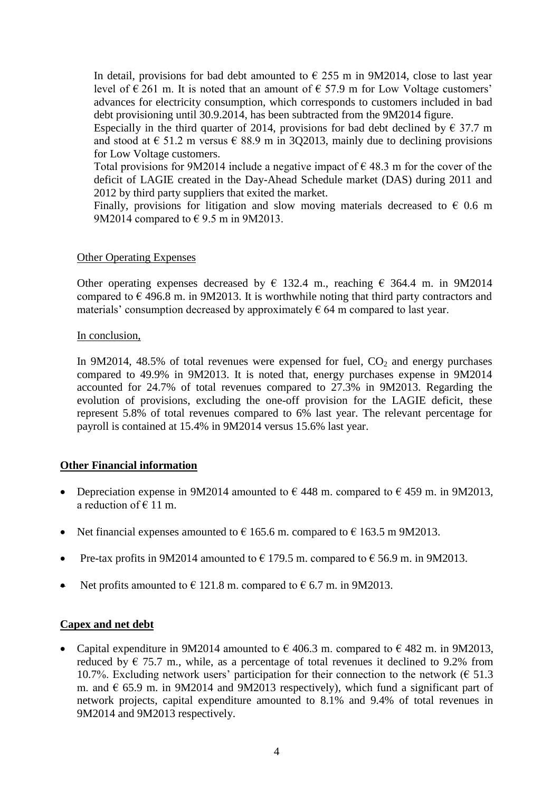In detail, provisions for bad debt amounted to  $\epsilon$  255 m in 9M2014, close to last year level of  $\epsilon$  261 m. It is noted that an amount of  $\epsilon$  57.9 m for Low Voltage customers' advances for electricity consumption, which corresponds to customers included in bad debt provisioning until 30.9.2014, has been subtracted from the 9M2014 figure.

Especially in the third quarter of 2014, provisions for bad debt declined by  $\epsilon$  37.7 m and stood at  $\epsilon$  51.2 m versus  $\epsilon$  88.9 m in 3O2013, mainly due to declining provisions for Low Voltage customers.

Total provisions for 9M2014 include a negative impact of  $\epsilon$  48.3 m for the cover of the deficit of LAGIE created in the Day-Ahead Schedule market (DAS) during 2011 and 2012 by third party suppliers that exited the market.

Finally, provisions for litigation and slow moving materials decreased to  $\epsilon$  0.6 m 9M2014 compared to  $\epsilon$  9.5 m in 9M2013.

## Other Operating Expenses

Other operating expenses decreased by  $\epsilon$  132.4 m, reaching  $\epsilon$  364.4 m. in 9M2014 compared to  $\epsilon$  496.8 m. in 9M2013. It is worthwhile noting that third party contractors and materials' consumption decreased by approximately  $\epsilon$  64 m compared to last year.

## In conclusion,

In 9M2014, 48.5% of total revenues were expensed for fuel,  $CO<sub>2</sub>$  and energy purchases compared to 49.9% in 9M2013. It is noted that, energy purchases expense in 9M2014 accounted for 24.7% of total revenues compared to 27.3% in 9M2013. Regarding the evolution of provisions, excluding the one-off provision for the LAGIE deficit, these represent 5.8% of total revenues compared to 6% last year. The relevant percentage for payroll is contained at 15.4% in 9M2014 versus 15.6% last year.

# **Other Financial information**

- Depreciation expense in 9M2014 amounted to  $\epsilon$  448 m. compared to  $\epsilon$  459 m. in 9M2013, a reduction of  $\in$  11 m.
- Net financial expenses amounted to  $\epsilon$  165.6 m. compared to  $\epsilon$  163.5 m 9M2013.
- Pre-tax profits in 9M2014 amounted to  $\epsilon$  179.5 m. compared to  $\epsilon$  56.9 m. in 9M2013.
- Net profits amounted to  $\in$  121.8 m. compared to  $\in$  6.7 m. in 9M2013.

# **Capex and net debt**

• Capital expenditure in 9M2014 amounted to  $\epsilon$  406.3 m. compared to  $\epsilon$  482 m. in 9M2013, reduced by  $\epsilon$  75.7 m., while, as a percentage of total revenues it declined to 9.2% from 10.7%. Excluding network users' participation for their connection to the network ( $\epsilon$  51.3 m. and  $\epsilon$  65.9 m. in 9M2014 and 9M2013 respectively), which fund a significant part of network projects, capital expenditure amounted to 8.1% and 9.4% of total revenues in 9M2014 and 9M2013 respectively.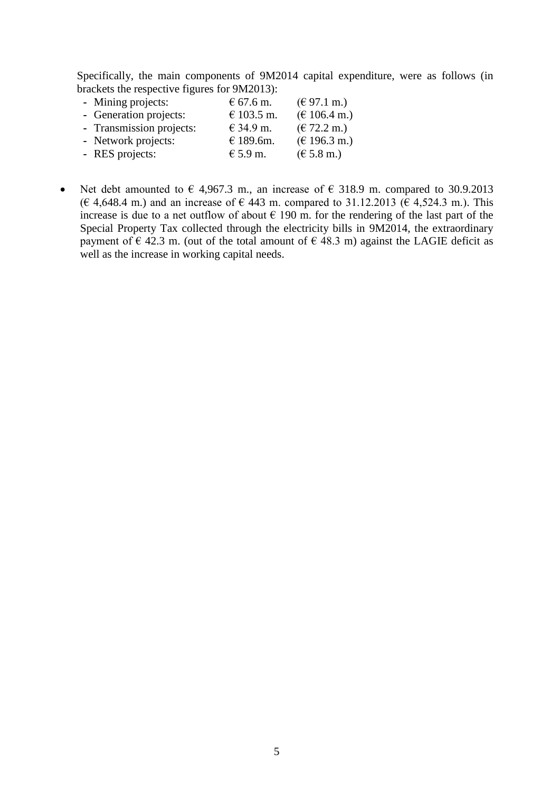Specifically, the main components of 9M2014 capital expenditure, were as follows (in brackets the respective figures for 9M2013):

| - Mining projects:       | € 67.6 m.  | $(\text{\textsterling }97.1 \text{ m.})$ |
|--------------------------|------------|------------------------------------------|
| - Generation projects:   | € 103.5 m. | $(\text{€ }106.4 \text{ m.})$            |
| - Transmission projects: | € 34.9 m.  | $(\text{€ } 72.2 \text{ m.})$            |
| - Network projects:      | € 189.6m.  | $(\text{€ } 196.3 \text{ m.})$           |
| - RES projects:          | $€ 5.9$ m. | $(\text{€ } 5.8 \text{ m.})$             |

• Net debt amounted to  $\epsilon$  4,967.3 m., an increase of  $\epsilon$  318.9 m. compared to 30.9.2013 (€ 4,648.4 m.) and an increase of € 443 m. compared to 31.12.2013 ( $\epsilon$  4,524.3 m.). This increase is due to a net outflow of about  $\epsilon$  190 m. for the rendering of the last part of the Special Property Tax collected through the electricity bills in 9M2014, the extraordinary payment of  $\epsilon$  42.3 m. (out of the total amount of  $\epsilon$  48.3 m) against the LAGIE deficit as well as the increase in working capital needs.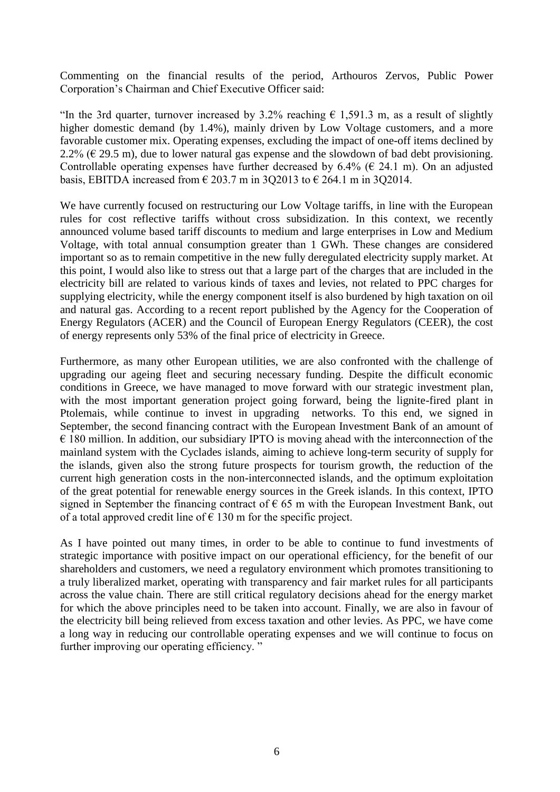Commenting on the financial results of the period, Arthouros Zervos, Public Power Corporation's Chairman and Chief Executive Officer said:

"In the 3rd quarter, turnover increased by 3.2% reaching  $\epsilon$  1,591.3 m, as a result of slightly higher domestic demand (by 1.4%), mainly driven by Low Voltage customers, and a more favorable customer mix. Operating expenses, excluding the impact of one-off items declined by 2.2% ( $\epsilon$  29.5 m), due to lower natural gas expense and the slowdown of bad debt provisioning. Controllable operating expenses have further decreased by  $6.4\%$  ( $6.24.1$  m). On an adjusted basis, EBITDA increased from  $\epsilon$  203.7 m in 3Q2013 to  $\epsilon$  264.1 m in 3Q2014.

We have currently focused on restructuring our Low Voltage tariffs, in line with the European rules for cost reflective tariffs without cross subsidization. In this context, we recently announced volume based tariff discounts to medium and large enterprises in Low and Medium Voltage, with total annual consumption greater than 1 GWh. These changes are considered important so as to remain competitive in the new fully deregulated electricity supply market. At this point, I would also like to stress out that a large part of the charges that are included in the electricity bill are related to various kinds of taxes and levies, not related to PPC charges for supplying electricity, while the energy component itself is also burdened by high taxation on oil and natural gas. According to a recent report published by the Agency for the Cooperation of Energy Regulators (ACER) and the Council of European Energy Regulators (CEER), the cost of energy represents only 53% of the final price of electricity in Greece.

Furthermore, as many other European utilities, we are also confronted with the challenge of upgrading our ageing fleet and securing necessary funding. Despite the difficult economic conditions in Greece, we have managed to move forward with our strategic investment plan, with the most important generation project going forward, being the lignite-fired plant in Ptolemais, while continue to invest in upgrading networks. To this end, we signed in September, the second financing contract with the European Investment Bank of an amount of  $\epsilon$  180 million. In addition, our subsidiary IPTO is moving ahead with the interconnection of the mainland system with the Cyclades islands, aiming to achieve long-term security of supply for the islands, given also the strong future prospects for tourism growth, the reduction of the current high generation costs in the non-interconnected islands, and the optimum exploitation of the great potential for renewable energy sources in the Greek islands. In this context, IPTO signed in September the financing contract of  $\epsilon$  65 m with the European Investment Bank, out of a total approved credit line of  $\epsilon$  130 m for the specific project.

As I have pointed out many times, in order to be able to continue to fund investments of strategic importance with positive impact on our operational efficiency, for the benefit of our shareholders and customers, we need a regulatory environment which promotes transitioning to a truly liberalized market, operating with transparency and fair market rules for all participants across the value chain. There are still critical regulatory decisions ahead for the energy market for which the above principles need to be taken into account. Finally, we are also in favour of the electricity bill being relieved from excess taxation and other levies. As PPC, we have come a long way in reducing our controllable operating expenses and we will continue to focus on further improving our operating efficiency."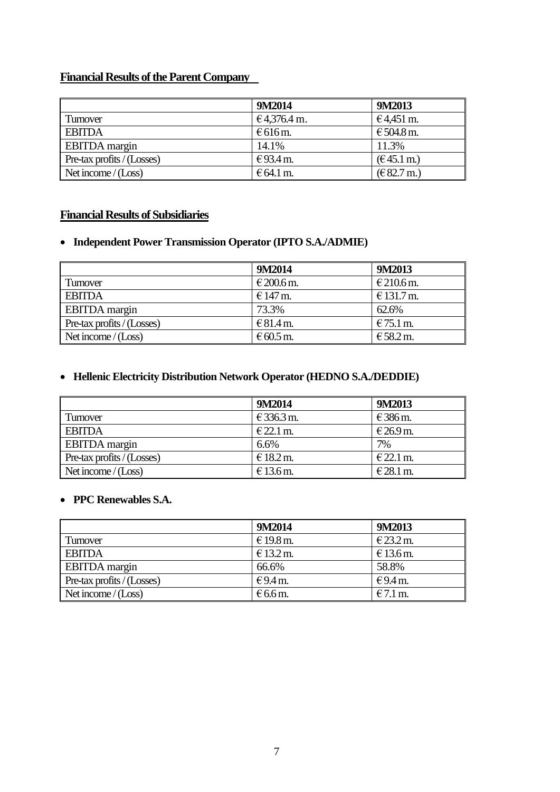# **Financial Results of the Parent Company**

|                                           | 9M2014             | 9M2013               |
|-------------------------------------------|--------------------|----------------------|
| I Turnover                                | €4,376.4 m.        | €4,451 m.            |
| <b>EBITDA</b>                             | $\epsilon$ 616 m.  | € 504.8 m.           |
| <b>EBITDA</b> margin                      | 14.1%              | 11.3%                |
| $\blacksquare$ Pre-tax profits / (Losses) | €93.4 m.           | $(E45.1 \text{ m.})$ |
| Net income $/(Loss)$                      | $\epsilon$ 64.1 m. | (E 82.7 m.)          |

# **Financial Results of Subsidiaries**

# **Independent Power Transmission Operator (IPTO S.A./ADMIE)**

|                                           | 9M2014     | 9M2013     |
|-------------------------------------------|------------|------------|
| <b>Turnover</b>                           | € 200.6 m. | € 210.6 m. |
| <b>EBITDA</b>                             | $€147$ m.  | € 131.7 m. |
| <b>EBITDA</b> margin                      | 73.3%      | 62.6%      |
| $\blacksquare$ Pre-tax profits / (Losses) | € 81.4 m.  | $€75.1$ m. |
| Net income $/(Loss)$                      | $€60.5$ m. | € 58.2 m.  |

# **Hellenic Electricity Distribution Network Operator (HEDNO S.A./DEDDIE)**

|                                           | 9M2014      | 9M2013      |
|-------------------------------------------|-------------|-------------|
| I Turnover                                | € 336.3 m.  | $€386$ m.   |
| <b>EBITDA</b>                             | $E$ 22.1 m. | € 26.9 m.   |
| <b>EBITDA</b> margin                      | 6.6%        | 7%          |
| $\blacksquare$ Pre-tax profits / (Losses) | $€18.2$ m.  | $E$ 22.1 m. |
| Net income $/(Loss)$                      | € 13.6 m.   | $€28.1$ m.  |

## **PPC Renewables S.A.**

|                                           | 9M2014            | 9M2013      |
|-------------------------------------------|-------------------|-------------|
| Turnover                                  | € 19.8 m.         | $E$ 23.2 m. |
| <b>EBITDA</b>                             | € 13.2 m.         | $€13.6$ m.  |
| <b>EBITDA</b> margin                      | 66.6%             | 58.8%       |
| $\blacksquare$ Pre-tax profits / (Losses) | $€9.4$ m.         | €9.4 m.     |
| Net income $/(Loss)$                      | $\epsilon$ 6.6 m. | $€7.1$ m.   |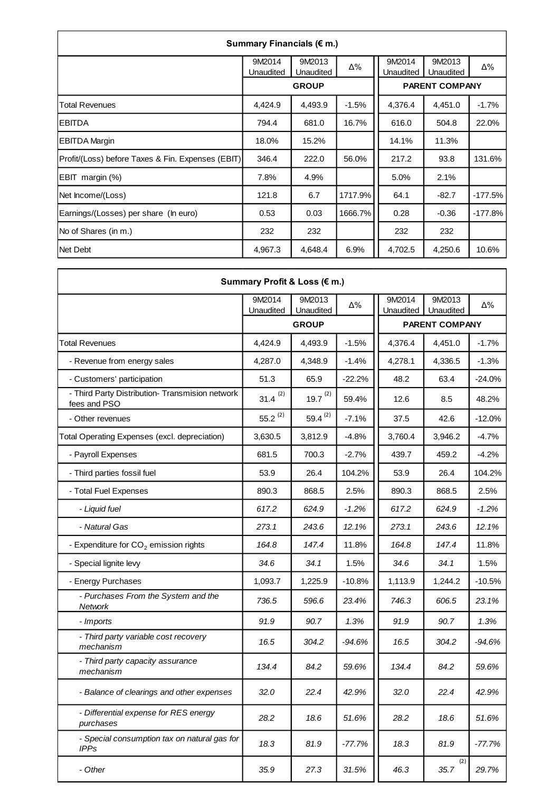| Summary Financials (€ m.)                         |                     |                     |         |                            |                     |           |  |  |  |
|---------------------------------------------------|---------------------|---------------------|---------|----------------------------|---------------------|-----------|--|--|--|
|                                                   | 9M2014<br>Unaudited | 9M2013<br>Unaudited | Δ%      | 9M2014<br><b>Unaudited</b> | 9M2013<br>Unaudited | Δ%        |  |  |  |
|                                                   |                     | <b>GROUP</b>        |         | <b>PARENT COMPANY</b>      |                     |           |  |  |  |
| Total Revenues                                    | 4,424.9             | 4,493.9             | $-1.5%$ | 4,376.4                    | 4,451.0             | $-1.7%$   |  |  |  |
| <b>EBITDA</b>                                     | 794.4               | 681.0               | 16.7%   | 616.0                      | 504.8               | 22.0%     |  |  |  |
| <b>EBITDA Margin</b>                              | 18.0%               | 15.2%               |         | 14.1%                      | 11.3%               |           |  |  |  |
| Profit/(Loss) before Taxes & Fin. Expenses (EBIT) | 346.4               | 222.0               | 56.0%   | 217.2                      | 93.8                | 131.6%    |  |  |  |
| EBIT margin (%)                                   | 7.8%                | 4.9%                |         | 5.0%                       | 2.1%                |           |  |  |  |
| Net Income/(Loss)                                 | 121.8               | 6.7                 | 1717.9% | 64.1                       | $-82.7$             | $-177.5%$ |  |  |  |
| Earnings/(Losses) per share (In euro)             | 0.53                | 0.03                | 1666.7% | 0.28                       | $-0.36$             | $-177.8%$ |  |  |  |
| No of Shares (in m.)                              | 232                 | 232                 |         | 232                        | 232                 |           |  |  |  |
| Net Debt                                          | 4,967.3             | 4,648.4             | 6.9%    | 4,702.5                    | 4,250.6             | 10.6%     |  |  |  |

F

| Summary Profit & Loss (€ m.)                                    |                     |                     |          |                       |                     |          |  |  |
|-----------------------------------------------------------------|---------------------|---------------------|----------|-----------------------|---------------------|----------|--|--|
|                                                                 | 9M2014<br>Unaudited | 9M2013<br>Unaudited | Δ%       | 9M2014<br>Unaudited   | 9M2013<br>Unaudited | Δ%       |  |  |
|                                                                 |                     | <b>GROUP</b>        |          | <b>PARENT COMPANY</b> |                     |          |  |  |
| Total Revenues                                                  | 4,424.9             | 4,493.9             | $-1.5%$  | 4,376.4               | 4.451.0             | $-1.7%$  |  |  |
| - Revenue from energy sales                                     | 4,287.0             | 4,348.9             | $-1.4%$  | 4,278.1               | 4,336.5             | $-1.3%$  |  |  |
| - Customers' participation                                      | 51.3                | 65.9                | $-22.2%$ | 48.2                  | 63.4                | $-24.0%$ |  |  |
| - Third Party Distribution- Transmision network<br>fees and PSO | $31.4^{(2)}$        | $19.7^{(2)}$        | 59.4%    | 12.6                  | 8.5                 | 48.2%    |  |  |
| - Other revenues                                                | $55.2^{(2)}$        | 59.4 $(2)$          | $-7.1%$  | 37.5                  | 42.6                | $-12.0%$ |  |  |
| Total Operating Expenses (excl. depreciation)                   | 3,630.5             | 3,812.9             | $-4.8%$  | 3,760.4               | 3,946.2             | $-4.7%$  |  |  |
| - Payroll Expenses                                              | 681.5               | 700.3               | $-2.7%$  | 439.7                 | 459.2               | $-4.2%$  |  |  |
| - Third parties fossil fuel                                     | 53.9                | 26.4                | 104.2%   | 53.9                  | 26.4                | 104.2%   |  |  |
| - Total Fuel Expenses                                           | 890.3               | 868.5               | 2.5%     | 890.3                 | 868.5               | 2.5%     |  |  |
| - Liquid fuel                                                   | 617.2               | 624.9               | $-1.2%$  | 617.2                 | 624.9               | $-1.2%$  |  |  |
| - Natural Gas                                                   | 273.1               | 243.6               | 12.1%    | 273.1                 | 243.6               | 12.1%    |  |  |
| - Expenditure for $CO2$ emission rights                         | 164.8               | 147.4               | 11.8%    | 164.8                 | 147.4               | 11.8%    |  |  |
| - Special lignite levy                                          | 34.6                | 34.1                | 1.5%     | 34.6                  | 34.1                | 1.5%     |  |  |
| - Energy Purchases                                              | 1,093.7             | 1,225.9             | $-10.8%$ | 1,113.9               | 1,244.2             | $-10.5%$ |  |  |
| - Purchases From the System and the<br>Network                  | 736.5               | 596.6               | 23.4%    | 746.3                 | 606.5               | 23.1%    |  |  |
| - Imports                                                       | 91.9                | 90.7                | 1.3%     | 91.9                  | 90.7                | 1.3%     |  |  |
| - Third party variable cost recovery<br>mechanism               | 16.5                | 304.2               | $-94.6%$ | 16.5                  | 304.2               | $-94.6%$ |  |  |
| - Third party capacity assurance<br>mechanism                   | 134.4               | 84.2                | 59.6%    | 134.4                 | 84.2                | 59.6%    |  |  |
| - Balance of clearings and other expenses                       | 32.0                | 22.4                | 42.9%    | 32.0                  | 22.4                | 42.9%    |  |  |
| - Differential expense for RES energy<br>purchases              | 28.2                | 18.6                | 51.6%    | 28.2                  | 18.6                | 51.6%    |  |  |
| - Special consumption tax on natural gas for<br><b>IPPs</b>     | 18.3                | 81.9                | $-77.7%$ | 18.3                  | 81.9                | $-77.7%$ |  |  |
| - Other                                                         | 35.9                | 27.3                | 31.5%    | 46.3                  | (2)<br>35.7         | 29.7%    |  |  |